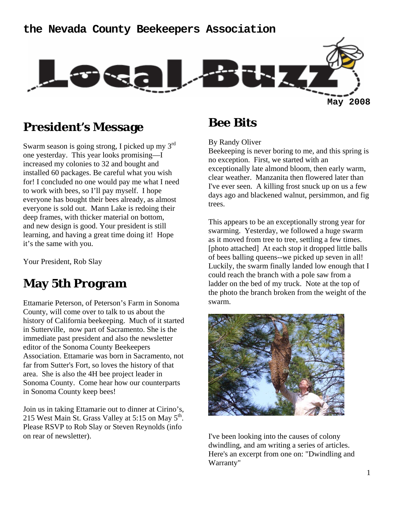### **the Nevada County Beekeepers Association**



## **President's Message**

Swarm season is going strong, I picked up my 3rd one yesterday. This year looks promising—I increased my colonies to 32 and bought and installed 60 packages. Be careful what you wish for! I concluded no one would pay me what I need to work with bees, so I'll pay myself. I hope everyone has bought their bees already, as almost everyone is sold out. Mann Lake is redoing their deep frames, with thicker material on bottom, and new design is good. Your president is still learning, and having a great time doing it! Hope it's the same with you.

Your President, Rob Slay

## **May 5th Program**

Ettamarie Peterson, of Peterson's Farm in Sonoma County, will come over to talk to us about the history of California beekeeping. Much of it started in Sutterville, now part of Sacramento. She is the immediate past president and also the newsletter editor of the Sonoma County Beekeepers Association. Ettamarie was born in Sacramento, not far from Sutter's Fort, so loves the history of that area. She is also the 4H bee project leader in Sonoma County. Come hear how our counterparts in Sonoma County keep bees!

Join us in taking Ettamarie out to dinner at Cirino's, 215 West Main St. Grass Valley at 5:15 on May 5<sup>th</sup>. Please RSVP to Rob Slay or Steven Reynolds (info on rear of newsletter).

## **Bee Bits**

By Randy Oliver

Beekeeping is never boring to me, and this spring is no exception. First, we started with an exceptionally late almond bloom, then early warm, clear weather. Manzanita then flowered later than I've ever seen. A killing frost snuck up on us a few days ago and blackened walnut, persimmon, and fig trees.

This appears to be an exceptionally strong year for swarming. Yesterday, we followed a huge swarm as it moved from tree to tree, settling a few times. [photo attached] At each stop it dropped little balls of bees balling queens--we picked up seven in all! Luckily, the swarm finally landed low enough that I could reach the branch with a pole saw from a ladder on the bed of my truck. Note at the top of the photo the branch broken from the weight of the swarm.



I've been looking into the causes of colony dwindling, and am writing a series of articles. Here's an excerpt from one on: "Dwindling and Warranty"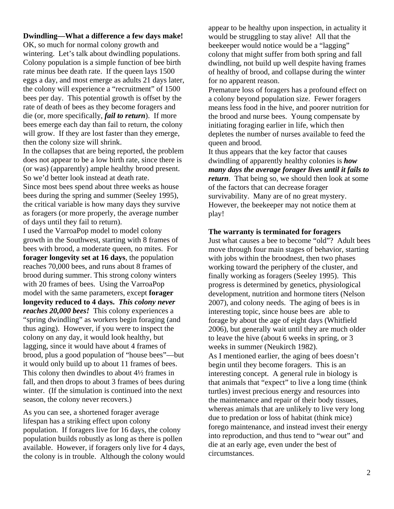#### **Dwindling—What a difference a few days make!**

OK, so much for normal colony growth and wintering. Let's talk about dwindling populations. Colony population is a simple function of bee birth rate minus bee death rate. If the queen lays 1500 eggs a day, and most emerge as adults 21 days later, the colony will experience a "recruitment" of 1500 bees per day. This potential growth is offset by the rate of death of bees as they become foragers and die (or, more specifically, *fail to return*). If more bees emerge each day than fail to return, the colony will grow. If they are lost faster than they emerge, then the colony size will shrink.

In the collapses that are being reported, the problem does not appear to be a low birth rate, since there is (or was) (apparently) ample healthy brood present. So we'd better look instead at death rate.

Since most bees spend about three weeks as house bees during the spring and summer (Seeley 1995), the critical variable is how many days they survive as foragers (or more properly, the average number of days until they fail to return).

I used the VarroaPop model to model colony growth in the Southwest, starting with 8 frames of bees with brood, a moderate queen, no mites. For **forager longevity set at 16 days**, the population reaches 70,000 bees, and runs about 8 frames of brood during summer. This strong colony winters with 20 frames of bees. Using the VarroaPop model with the same parameters, except **forager longevity reduced to 4 days.** *This colony never reaches 20,000 bees!*This colony experiences a "spring dwindling" as workers begin foraging (and thus aging). However, if you were to inspect the colony on any day, it would look healthy, but lagging, since it would have about 4 frames of brood, plus a good population of "house bees"—but it would only build up to about 11 frames of bees. This colony then dwindles to about 4½ frames in fall, and then drops to about 3 frames of bees during winter. (If the simulation is continued into the next season, the colony never recovers.)

As you can see, a shortened forager average lifespan has a striking effect upon colony population. If foragers live for 16 days, the colony population builds robustly as long as there is pollen available. However, if foragers only live for 4 days, the colony is in trouble. Although the colony would appear to be healthy upon inspection, in actuality it would be struggling to stay alive! All that the beekeeper would notice would be a "lagging" colony that might suffer from both spring and fall dwindling, not build up well despite having frames of healthy of brood, and collapse during the winter for no apparent reason.

Premature loss of foragers has a profound effect on a colony beyond population size. Fewer foragers means less food in the hive, and poorer nutrition for the brood and nurse bees. Young compensate by initiating foraging earlier in life, which then depletes the number of nurses available to feed the queen and brood.

It thus appears that the key factor that causes dwindling of apparently healthy colonies is *how many days the average forager lives until it fails to return*. That being so, we should then look at some of the factors that can decrease forager survivability. Many are of no great mystery. However, the beekeeper may not notice them at play!

#### **The warranty is terminated for foragers**

Just what causes a bee to become "old"? Adult bees move through four main stages of behavior, starting with jobs within the broodnest, then two phases working toward the periphery of the cluster, and finally working as foragers (Seeley 1995). This progress is determined by genetics, physiological development, nutrition and hormone titers (Nelson 2007), and colony needs. The aging of bees is in interesting topic, since house bees are able to forage by about the age of eight days (Whitfield 2006), but generally wait until they are much older to leave the hive (about 6 weeks in spring, or 3 weeks in summer (Neukirch 1982). As I mentioned earlier, the aging of bees doesn't begin until they become foragers. This is an interesting concept. A general rule in biology is that animals that "expect" to live a long time (think turtles) invest precious energy and resources into the maintenance and repair of their body tissues, whereas animals that are unlikely to live very long due to predation or loss of habitat (think mice) forego maintenance, and instead invest their energy into reproduction, and thus tend to "wear out" and die at an early age, even under the best of circumstances.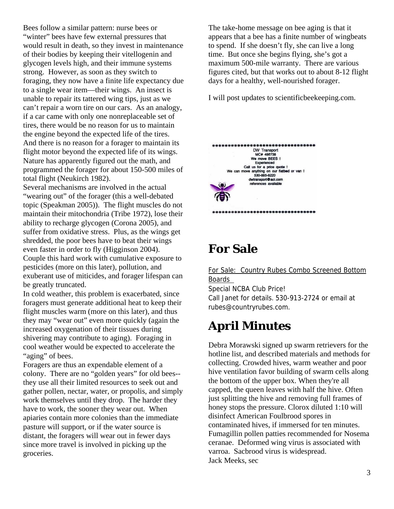Bees follow a similar pattern: nurse bees or "winter" bees have few external pressures that would result in death, so they invest in maintenance of their bodies by keeping their vitellogenin and glycogen levels high, and their immune systems strong. However, as soon as they switch to foraging, they now have a finite life expectancy due to a single wear item—their wings. An insect is unable to repair its tattered wing tips, just as we can't repair a worn tire on our cars. As an analogy, if a car came with only one nonreplaceable set of tires, there would be no reason for us to maintain the engine beyond the expected life of the tires. And there is no reason for a forager to maintain its flight motor beyond the expected life of its wings. Nature has apparently figured out the math, and programmed the forager for about 150-500 miles of total flight (Neukirch 1982).

Several mechanisms are involved in the actual "wearing out" of the forager (this a well-debated topic (Speakman 2005)). The flight muscles do not maintain their mitochondria (Tribe 1972), lose their ability to recharge glycogen (Corona 2005), and suffer from oxidative stress. Plus, as the wings get shredded, the poor bees have to beat their wings even faster in order to fly (Higginson 2004). Couple this hard work with cumulative exposure to pesticides (more on this later), pollution, and exuberant use of miticides, and forager lifespan can be greatly truncated.

In cold weather, this problem is exacerbated, since foragers must generate additional heat to keep their flight muscles warm (more on this later), and thus they may "wear out" even more quickly (again the increased oxygenation of their tissues during shivering may contribute to aging). Foraging in cool weather would be expected to accelerate the "aging" of bees.

Foragers are thus an expendable element of a colony. There are no "golden years" for old bees- they use all their limited resources to seek out and gather pollen, nectar, water, or propolis, and simply work themselves until they drop. The harder they have to work, the sooner they wear out. When apiaries contain more colonies than the immediate pasture will support, or if the water source is distant, the foragers will wear out in fewer days since more travel is involved in picking up the groceries.

The take-home message on bee aging is that it appears that a bee has a finite number of wingbeats to spend. If she doesn't fly, she can live a long time. But once she begins flying, she's got a maximum 500-mile warranty. There are various figures cited, but that works out to about 8-12 flight days for a healthy, well-nourished forager.

I will post updates to scientificbeekeeping.com.



# **For Sale**

For Sale: Country Rubes Combo Screened Bottom Boards Special NCBA Club Price! Call Janet for details. 530-913-2724 or email at

# **April Minutes**

rubes@countryrubes.com.

Debra Morawski signed up swarm retrievers for the hotline list, and described materials and methods for collecting. Crowded hives, warm weather and poor hive ventilation favor building of swarm cells along the bottom of the upper box. When they're all capped, the queen leaves with half the hive. Often just splitting the hive and removing full frames of honey stops the pressure. Clorox diluted 1:10 will disinfect American Foulbrood spores in contaminated hives, if immersed for ten minutes. Fumagillin pollen patties recommended for Nosema ceranae. Deformed wing virus is associated with varroa. Sacbrood virus is widespread. Jack Meeks, sec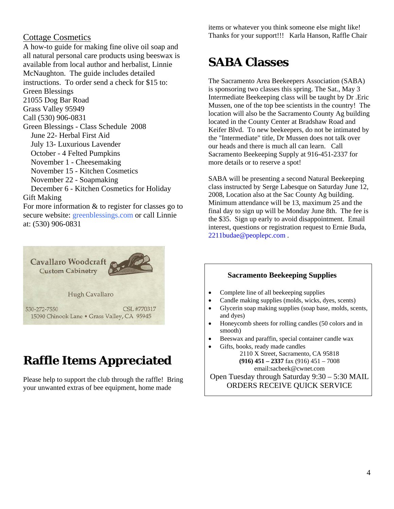#### Cottage Cosmetics

A how-to guide for making fine olive oil soap and all natural personal care products using beeswax is available from local author and herbalist, Linnie McNaughton. The guide includes detailed instructions. To order send a check for \$15 to: Green Blessings 21055 Dog Bar Road Grass Valley 95949 Call (530) 906-0831 Green Blessings - Class Schedule 2008 June 22- Herbal First Aid July 13- Luxurious Lavender October - 4 Felted Pumpkins November 1 - Cheesemaking November 15 - Kitchen Cosmetics November 22 - Soapmaking December 6 - Kitchen Cosmetics for Holiday Gift Making For more information & to register for classes go to secure website: greenblessings.com or call Linnie at: (530) 906-0831



# **Raffle Items Appreciated**

Please help to support the club through the raffle! Bring your unwanted extras of bee equipment, home made

items or whatever you think someone else might like! Thanks for your support!!! Karla Hanson, Raffle Chair

# **SABA Classes**

The Sacramento Area Beekeepers Association (SABA) is sponsoring two classes this spring. The Sat., May 3 Intermediate Beekeeping class will be taught by Dr .Eric Mussen, one of the top bee scientists in the country! The location will also be the Sacramento County Ag building located in the County Center at Bradshaw Road and Keifer Blvd. To new beekeepers, do not be intimated by the "Intermediate" title, Dr Mussen does not talk over our heads and there is much all can learn. Call Sacramento Beekeeping Supply at 916-451-2337 for more details or to reserve a spot!

SABA will be presenting a second Natural Beekeeping class instructed by Serge Labesque on Saturday June 12, 2008, Location also at the Sac County Ag building. Minimum attendance will be 13, maximum 25 and the final day to sign up will be Monday June 8th. The fee is the \$35. Sign up early to avoid disappointment. Email interest, questions or registration request to Ernie Buda, 2211budae@peoplepc.com .

#### **Sacramento Beekeeping Supplies**

- Complete line of all beekeeping supplies
- Candle making supplies (molds, wicks, dyes, scents)
- Glycerin soap making supplies (soap base, molds, scents, and dyes)
- Honeycomb sheets for rolling candles (50 colors and in smooth)
- Beeswax and paraffin, special container candle wax
- Gifts, books, ready made candles

2110 X Street, Sacramento, CA 95818 **(916) 451 – 2337** fax (916) 451 – 7008 email:sacbeek@cwnet.com

Open Tuesday through Saturday 9:30 – 5:30 MAIL ORDERS RECEIVE QUICK SERVICE